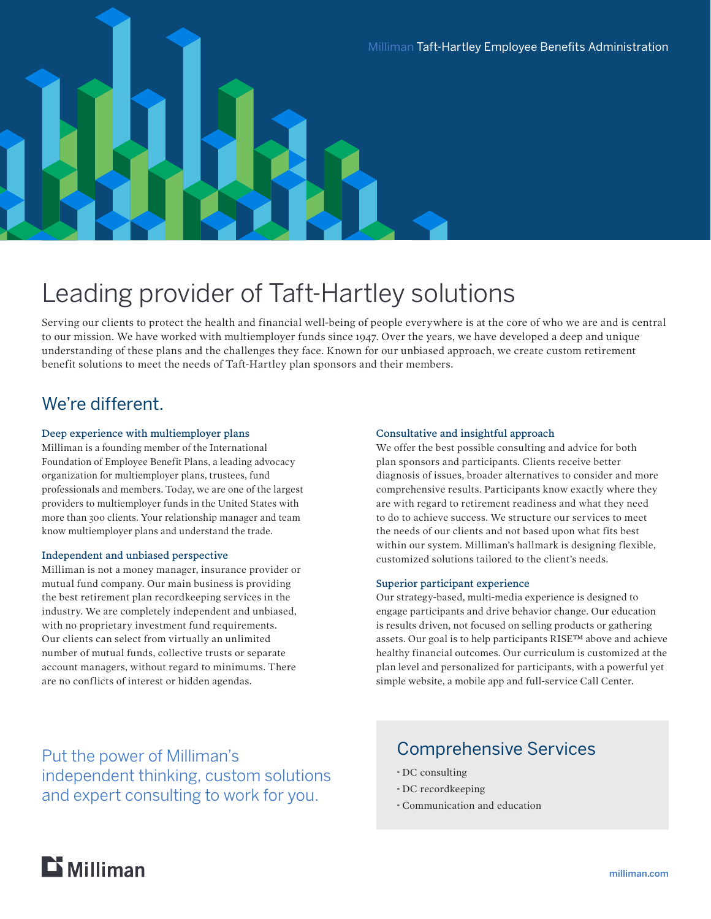

# Leading provider of Taft-Hartley solutions

Serving our clients to protect the health and financial well-being of people everywhere is at the core of who we are and is central to our mission. We have worked with multiemployer funds since 1947. Over the years, we have developed a deep and unique understanding of these plans and the challenges they face. Known for our unbiased approach, we create custom retirement benefit solutions to meet the needs of Taft-Hartley plan sponsors and their members.

## We're different.

#### Deep experience with multiemployer plans

Milliman is a founding member of the International Foundation of Employee Benefit Plans, a leading advocacy organization for multiemployer plans, trustees, fund professionals and members. Today, we are one of the largest providers to multiemployer funds in the United States with more than 300 clients. Your relationship manager and team know multiemployer plans and understand the trade.

#### Independent and unbiased perspective

Milliman is not a money manager, insurance provider or mutual fund company. Our main business is providing the best retirement plan recordkeeping services in the industry. We are completely independent and unbiased, with no proprietary investment fund requirements. Our clients can select from virtually an unlimited number of mutual funds, collective trusts or separate account managers, without regard to minimums. There are no conflicts of interest or hidden agendas.

#### Consultative and insightful approach

We offer the best possible consulting and advice for both plan sponsors and participants. Clients receive better diagnosis of issues, broader alternatives to consider and more comprehensive results. Participants know exactly where they are with regard to retirement readiness and what they need to do to achieve success. We structure our services to meet the needs of our clients and not based upon what fits best within our system. Milliman's hallmark is designing flexible, customized solutions tailored to the client's needs.

#### Superior participant experience

Our strategy-based, multi-media experience is designed to engage participants and drive behavior change. Our education is results driven, not focused on selling products or gathering assets. Our goal is to help participants RISE™ above and achieve healthy financial outcomes. Our curriculum is customized at the plan level and personalized for participants, with a powerful yet simple website, a mobile app and full-service Call Center.

Put the power of Milliman's independent thinking, custom solutions and expert consulting to work for you.

### Comprehensive Services

- · DC consulting
- · DC recordkeeping
- · Communication and education